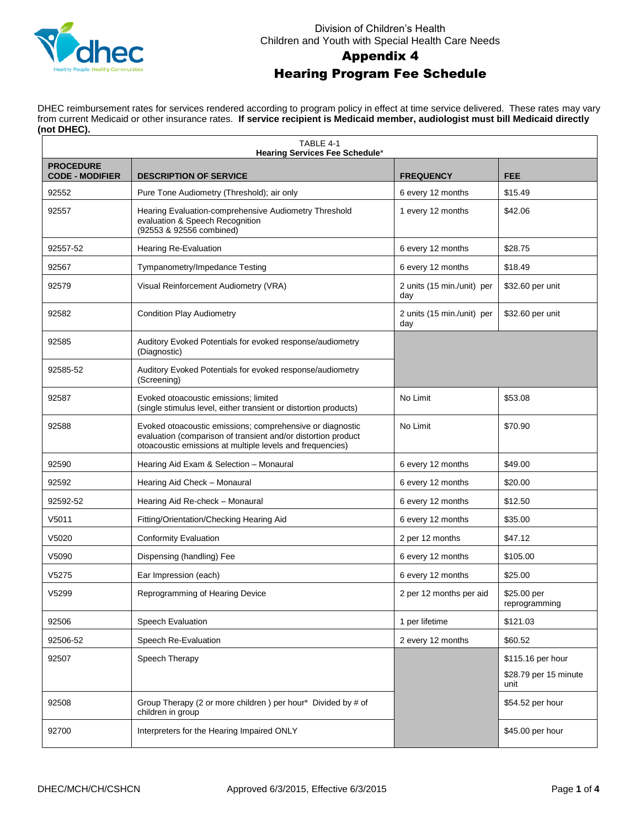

#### Division of Children's Health Children and Youth with Special Health Care Needs

## Appendix 4 Hearing Program Fee Schedule

DHEC reimbursement rates for services rendered according to program policy in effect at time service delivered. These rates may vary from current Medicaid or other insurance rates. **If service recipient is Medicaid member, audiologist must bill Medicaid directly (not DHEC).**

| TABLE 4-1<br><b>Hearing Services Fee Schedule*</b> |                                                                                                                                                                                         |                                   |                                                    |  |  |
|----------------------------------------------------|-----------------------------------------------------------------------------------------------------------------------------------------------------------------------------------------|-----------------------------------|----------------------------------------------------|--|--|
| <b>PROCEDURE</b><br><b>CODE - MODIFIER</b>         | <b>DESCRIPTION OF SERVICE</b>                                                                                                                                                           | <b>FREQUENCY</b>                  | <b>FEE</b>                                         |  |  |
| 92552                                              | Pure Tone Audiometry (Threshold); air only                                                                                                                                              | 6 every 12 months                 | \$15.49                                            |  |  |
| 92557                                              | Hearing Evaluation-comprehensive Audiometry Threshold<br>evaluation & Speech Recognition<br>(92553 & 92556 combined)                                                                    | 1 every 12 months                 | \$42.06                                            |  |  |
| 92557-52                                           | Hearing Re-Evaluation                                                                                                                                                                   | 6 every 12 months                 | \$28.75                                            |  |  |
| 92567                                              | Tympanometry/Impedance Testing                                                                                                                                                          | 6 every 12 months                 | \$18.49                                            |  |  |
| 92579                                              | Visual Reinforcement Audiometry (VRA)                                                                                                                                                   | 2 units (15 min./unit) per<br>day | \$32.60 per unit                                   |  |  |
| 92582                                              | <b>Condition Play Audiometry</b>                                                                                                                                                        | 2 units (15 min./unit) per<br>day | \$32.60 per unit                                   |  |  |
| 92585                                              | Auditory Evoked Potentials for evoked response/audiometry<br>(Diagnostic)                                                                                                               |                                   |                                                    |  |  |
| 92585-52                                           | Auditory Evoked Potentials for evoked response/audiometry<br>(Screening)                                                                                                                |                                   |                                                    |  |  |
| 92587                                              | Evoked otoacoustic emissions; limited<br>(single stimulus level, either transient or distortion products)                                                                               | No Limit                          | \$53.08                                            |  |  |
| 92588                                              | Evoked otoacoustic emissions; comprehensive or diagnostic<br>evaluation (comparison of transient and/or distortion product<br>otoacoustic emissions at multiple levels and frequencies) | No Limit                          | \$70.90                                            |  |  |
| 92590                                              | Hearing Aid Exam & Selection - Monaural                                                                                                                                                 | 6 every 12 months                 | \$49.00                                            |  |  |
| 92592                                              | Hearing Aid Check - Monaural                                                                                                                                                            | 6 every 12 months                 | \$20.00                                            |  |  |
| 92592-52                                           | Hearing Aid Re-check - Monaural                                                                                                                                                         | 6 every 12 months                 | \$12.50                                            |  |  |
| V5011                                              | Fitting/Orientation/Checking Hearing Aid                                                                                                                                                | 6 every 12 months                 | \$35.00                                            |  |  |
| V5020                                              | <b>Conformity Evaluation</b>                                                                                                                                                            | 2 per 12 months                   | \$47.12                                            |  |  |
| V5090                                              | Dispensing (handling) Fee                                                                                                                                                               | 6 every 12 months                 | \$105.00                                           |  |  |
| V5275                                              | Ear Impression (each)                                                                                                                                                                   | 6 every 12 months                 | \$25.00                                            |  |  |
| V5299                                              | Reprogramming of Hearing Device                                                                                                                                                         | 2 per 12 months per aid           | \$25.00 per<br>reprogramming                       |  |  |
| 92506                                              | Speech Evaluation                                                                                                                                                                       | 1 per lifetime                    | \$121.03                                           |  |  |
| 92506-52                                           | Speech Re-Evaluation                                                                                                                                                                    | 2 every 12 months                 | \$60.52                                            |  |  |
| 92507                                              | Speech Therapy                                                                                                                                                                          |                                   | \$115.16 per hour<br>\$28.79 per 15 minute<br>unit |  |  |
| 92508                                              | Group Therapy (2 or more children) per hour* Divided by # of<br>children in group                                                                                                       |                                   | \$54.52 per hour                                   |  |  |
| 92700                                              | Interpreters for the Hearing Impaired ONLY                                                                                                                                              |                                   | \$45.00 per hour                                   |  |  |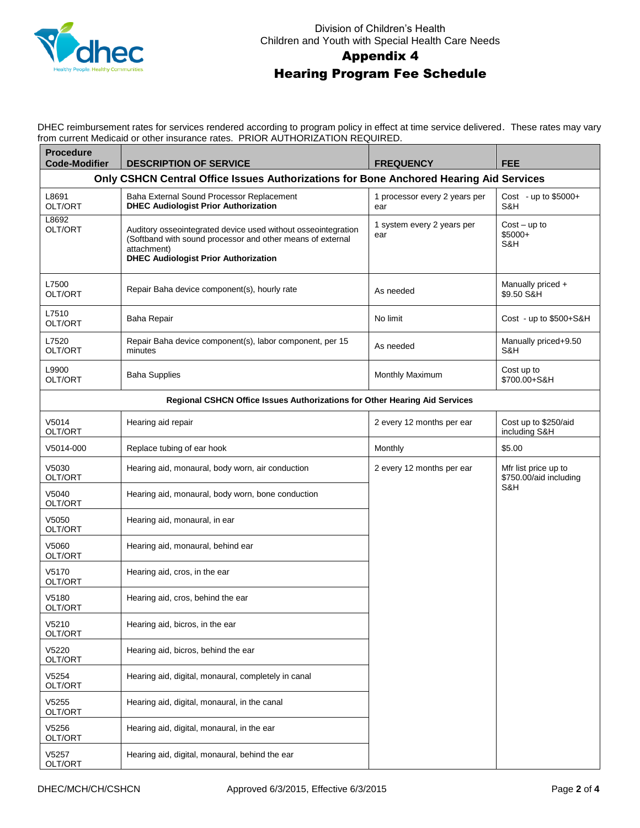

#### Division of Children's Health Children and Youth with Special Health Care Needs

### Appendix 4

## Hearing Program Fee Schedule

DHEC reimbursement rates for services rendered according to program policy in effect at time service delivered. These rates may vary from current Medicaid or other insurance rates. PRIOR AUTHORIZATION REQUIRED.

| <b>Procedure</b><br><b>Code-Modifier</b> | <b>DESCRIPTION OF SERVICE</b>                                                                                                                                                             | <b>FREQUENCY</b>                     | <b>FEE</b>                                     |
|------------------------------------------|-------------------------------------------------------------------------------------------------------------------------------------------------------------------------------------------|--------------------------------------|------------------------------------------------|
|                                          | Only CSHCN Central Office Issues Authorizations for Bone Anchored Hearing Aid Services                                                                                                    |                                      |                                                |
| L8691<br>OLT/ORT                         | Baha External Sound Processor Replacement<br><b>DHEC Audiologist Prior Authorization</b>                                                                                                  | 1 processor every 2 years per<br>ear | Cost - up to $$5000+$<br>S&H                   |
| L8692<br>OLT/ORT                         | Auditory osseointegrated device used without osseointegration<br>(Softband with sound processor and other means of external<br>attachment)<br><b>DHEC Audiologist Prior Authorization</b> | 1 system every 2 years per<br>ear    | $Cost - up to$<br>$$5000+$<br>S&H              |
| L7500<br>OLT/ORT                         | Repair Baha device component(s), hourly rate                                                                                                                                              | As needed                            | Manually priced +<br>\$9.50 S&H                |
| L7510<br>OLT/ORT                         | Baha Repair                                                                                                                                                                               | No limit                             | Cost - up to \$500+S&H                         |
| L7520<br>OLT/ORT                         | Repair Baha device component(s), labor component, per 15<br>minutes                                                                                                                       | As needed                            | Manually priced+9.50<br>S&H                    |
| L9900<br>OLT/ORT                         | <b>Baha Supplies</b>                                                                                                                                                                      | Monthly Maximum                      | Cost up to<br>\$700.00+S&H                     |
|                                          | Regional CSHCN Office Issues Authorizations for Other Hearing Aid Services                                                                                                                |                                      |                                                |
| V5014<br>OLT/ORT                         | Hearing aid repair                                                                                                                                                                        | 2 every 12 months per ear            | Cost up to \$250/aid<br>including S&H          |
| V5014-000                                | Replace tubing of ear hook                                                                                                                                                                | Monthly                              | \$5.00                                         |
| V5030<br>OLT/ORT                         | Hearing aid, monaural, body worn, air conduction                                                                                                                                          | 2 every 12 months per ear            | Mfr list price up to<br>\$750.00/aid including |
| V5040<br>OLT/ORT                         | Hearing aid, monaural, body worn, bone conduction                                                                                                                                         |                                      | S&H                                            |
| V5050<br>OLT/ORT                         | Hearing aid, monaural, in ear                                                                                                                                                             |                                      |                                                |
| V5060<br>OLT/ORT                         | Hearing aid, monaural, behind ear                                                                                                                                                         |                                      |                                                |
| V5170<br>OLT/ORT                         | Hearing aid, cros, in the ear                                                                                                                                                             |                                      |                                                |
| V5180<br>OLT/ORT                         | Hearing aid, cros, behind the ear                                                                                                                                                         |                                      |                                                |
| V5210<br>OLT/ORT                         | Hearing aid, bicros, in the ear                                                                                                                                                           |                                      |                                                |
| V5220<br>OLT/ORT                         | Hearing aid, bicros, behind the ear                                                                                                                                                       |                                      |                                                |
| V5254<br>OLT/ORT                         | Hearing aid, digital, monaural, completely in canal                                                                                                                                       |                                      |                                                |
| V5255<br>OLT/ORT                         | Hearing aid, digital, monaural, in the canal                                                                                                                                              |                                      |                                                |
| V5256<br>OLT/ORT                         | Hearing aid, digital, monaural, in the ear                                                                                                                                                |                                      |                                                |
| V5257<br>OLT/ORT                         | Hearing aid, digital, monaural, behind the ear                                                                                                                                            |                                      |                                                |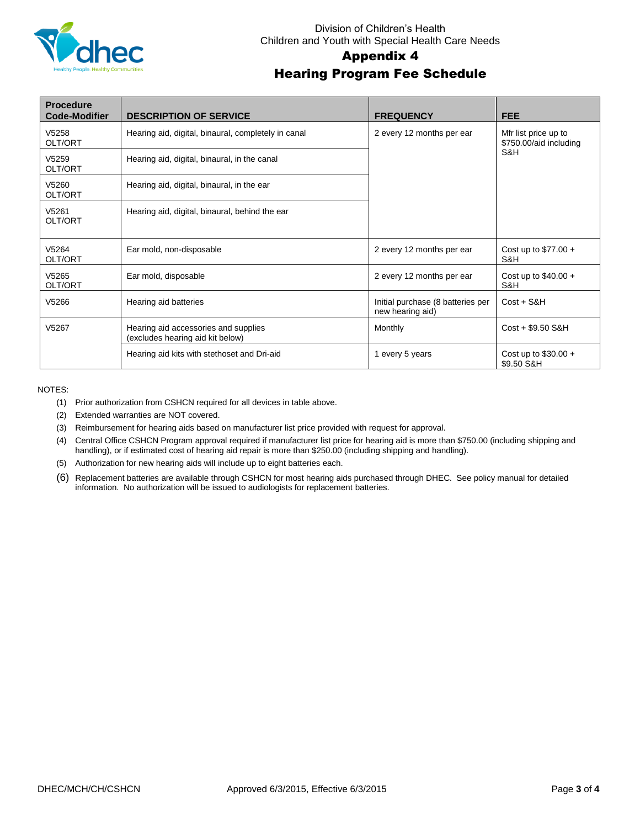

#### Division of Children's Health Children and Youth with Special Health Care Needs

# Appendix 4

# Hearing Program Fee Schedule

| <b>Procedure</b><br><b>Code-Modifier</b> | <b>DESCRIPTION OF SERVICE</b>                                            | <b>FREQUENCY</b>                                      | <b>FEE</b>                                            |
|------------------------------------------|--------------------------------------------------------------------------|-------------------------------------------------------|-------------------------------------------------------|
| V5258<br>OLT/ORT                         | Hearing aid, digital, binaural, completely in canal                      | 2 every 12 months per ear                             | Mfr list price up to<br>\$750.00/aid including<br>S&H |
| V5259<br>OLT/ORT                         | Hearing aid, digital, binaural, in the canal                             |                                                       |                                                       |
| V5260<br>OLT/ORT                         | Hearing aid, digital, binaural, in the ear                               |                                                       |                                                       |
| V5261<br>OLT/ORT                         | Hearing aid, digital, binaural, behind the ear                           |                                                       |                                                       |
| V5264<br>OLT/ORT                         | Ear mold, non-disposable                                                 | 2 every 12 months per ear                             | Cost up to $$77.00 +$<br>S&H                          |
| V5265<br>OLT/ORT                         | Ear mold, disposable                                                     | 2 every 12 months per ear                             | Cost up to $$40.00 +$<br>S&H                          |
| V5266                                    | Hearing aid batteries                                                    | Initial purchase (8 batteries per<br>new hearing aid) | $Cost + S&H$                                          |
| V5267                                    | Hearing aid accessories and supplies<br>(excludes hearing aid kit below) | Monthly                                               | Cost + \$9.50 S&H                                     |
|                                          | Hearing aid kits with stethoset and Dri-aid                              | 1 every 5 years                                       | Cost up to $$30.00 +$<br>\$9.50 S&H                   |

NOTES:

- (1) Prior authorization from CSHCN required for all devices in table above.
- (2) Extended warranties are NOT covered.
- (3) Reimbursement for hearing aids based on manufacturer list price provided with request for approval.
- (4) Central Office CSHCN Program approval required if manufacturer list price for hearing aid is more than \$750.00 (including shipping and handling), or if estimated cost of hearing aid repair is more than \$250.00 (including shipping and handling).
- (5) Authorization for new hearing aids will include up to eight batteries each.
- (6) Replacement batteries are available through CSHCN for most hearing aids purchased through DHEC. See policy manual for detailed information. No authorization will be issued to audiologists for replacement batteries.